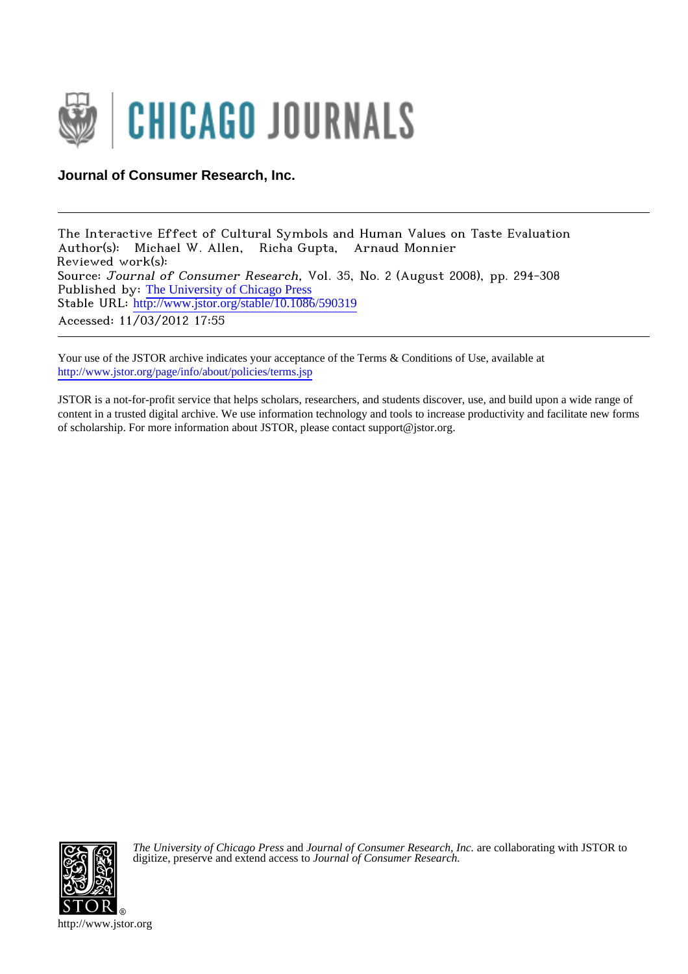

## **Journal of Consumer Research, Inc.**

The Interactive Effect of Cultural Symbols and Human Values on Taste Evaluation Author(s): Michael W. Allen, Richa Gupta, Arnaud Monnier Reviewed work(s): Source: Journal of Consumer Research, Vol. 35, No. 2 (August 2008), pp. 294-308 Published by: [The University of Chicago Press](http://www.jstor.org/action/showPublisher?publisherCode=ucpress) Stable URL: http://www.jstor.org/stable/10.1086/590319 Accessed: 11/03/2012 17:55

Your use of the JSTOR archive indicates your acceptance of the Terms & Conditions of Use, available at <http://www.jstor.org/page/info/about/policies/terms.jsp>

JSTOR is a not-for-profit service that helps scholars, researchers, and students discover, use, and build upon a wide range of content in a trusted digital archive. We use information technology and tools to increase productivity and facilitate new forms of scholarship. For more information about JSTOR, please contact support@jstor.org.



*The University of Chicago Press* and *Journal of Consumer Research, Inc.* are collaborating with JSTOR to digitize, preserve and extend access to *Journal of Consumer Research.*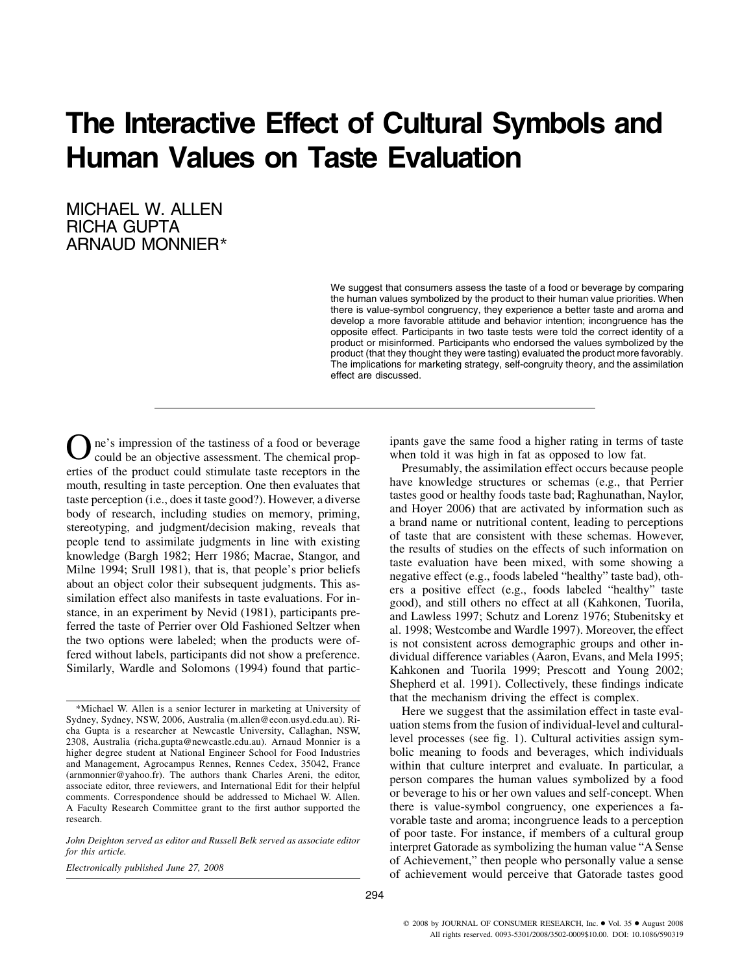# **The Interactive Effect of Cultural Symbols and Human Values on Taste Evaluation**

MICHAEL W. ALLEN RICHA GUPTA ARNAUD MONNIER\*

> We suggest that consumers assess the taste of a food or beverage by comparing the human values symbolized by the product to their human value priorities. When there is value-symbol congruency, they experience a better taste and aroma and develop a more favorable attitude and behavior intention; incongruence has the opposite effect. Participants in two taste tests were told the correct identity of a product or misinformed. Participants who endorsed the values symbolized by the product (that they thought they were tasting) evaluated the product more favorably. The implications for marketing strategy, self-congruity theory, and the assimilation effect are discussed.

One's impression of the tastiness of a food or beverage could be an objective assessment. The chemical properties of the product could stimulate taste receptors in the mouth, resulting in taste perception. One then evaluates that taste perception (i.e., does it taste good?). However, a diverse body of research, including studies on memory, priming, stereotyping, and judgment/decision making, reveals that people tend to assimilate judgments in line with existing knowledge (Bargh 1982; Herr 1986; Macrae, Stangor, and Milne 1994; Srull 1981), that is, that people's prior beliefs about an object color their subsequent judgments. This assimilation effect also manifests in taste evaluations. For instance, in an experiment by Nevid (1981), participants preferred the taste of Perrier over Old Fashioned Seltzer when the two options were labeled; when the products were offered without labels, participants did not show a preference. Similarly, Wardle and Solomons (1994) found that partic-

*John Deighton served as editor and Russell Belk served as associate editor for this article.*

*Electronically published June 27, 2008*

ipants gave the same food a higher rating in terms of taste when told it was high in fat as opposed to low fat.

Presumably, the assimilation effect occurs because people have knowledge structures or schemas (e.g., that Perrier tastes good or healthy foods taste bad; Raghunathan, Naylor, and Hoyer 2006) that are activated by information such as a brand name or nutritional content, leading to perceptions of taste that are consistent with these schemas. However, the results of studies on the effects of such information on taste evaluation have been mixed, with some showing a negative effect (e.g., foods labeled "healthy" taste bad), others a positive effect (e.g., foods labeled "healthy" taste good), and still others no effect at all (Kahkonen, Tuorila, and Lawless 1997; Schutz and Lorenz 1976; Stubenitsky et al. 1998; Westcombe and Wardle 1997). Moreover, the effect is not consistent across demographic groups and other individual difference variables (Aaron, Evans, and Mela 1995; Kahkonen and Tuorila 1999; Prescott and Young 2002; Shepherd et al. 1991). Collectively, these findings indicate that the mechanism driving the effect is complex.

Here we suggest that the assimilation effect in taste evaluation stems from the fusion of individual-level and culturallevel processes (see fig. 1). Cultural activities assign symbolic meaning to foods and beverages, which individuals within that culture interpret and evaluate. In particular, a person compares the human values symbolized by a food or beverage to his or her own values and self-concept. When there is value-symbol congruency, one experiences a favorable taste and aroma; incongruence leads to a perception of poor taste. For instance, if members of a cultural group interpret Gatorade as symbolizing the human value "A Sense of Achievement," then people who personally value a sense of achievement would perceive that Gatorade tastes good

<sup>\*</sup>Michael W. Allen is a senior lecturer in marketing at University of Sydney, Sydney, NSW, 2006, Australia (m.allen@econ.usyd.edu.au). Richa Gupta is a researcher at Newcastle University, Callaghan, NSW, 2308, Australia (richa.gupta@newcastle.edu.au). Arnaud Monnier is a higher degree student at National Engineer School for Food Industries and Management, Agrocampus Rennes, Rennes Cedex, 35042, France (arnmonnier@yahoo.fr). The authors thank Charles Areni, the editor, associate editor, three reviewers, and International Edit for their helpful comments. Correspondence should be addressed to Michael W. Allen. A Faculty Research Committee grant to the first author supported the research.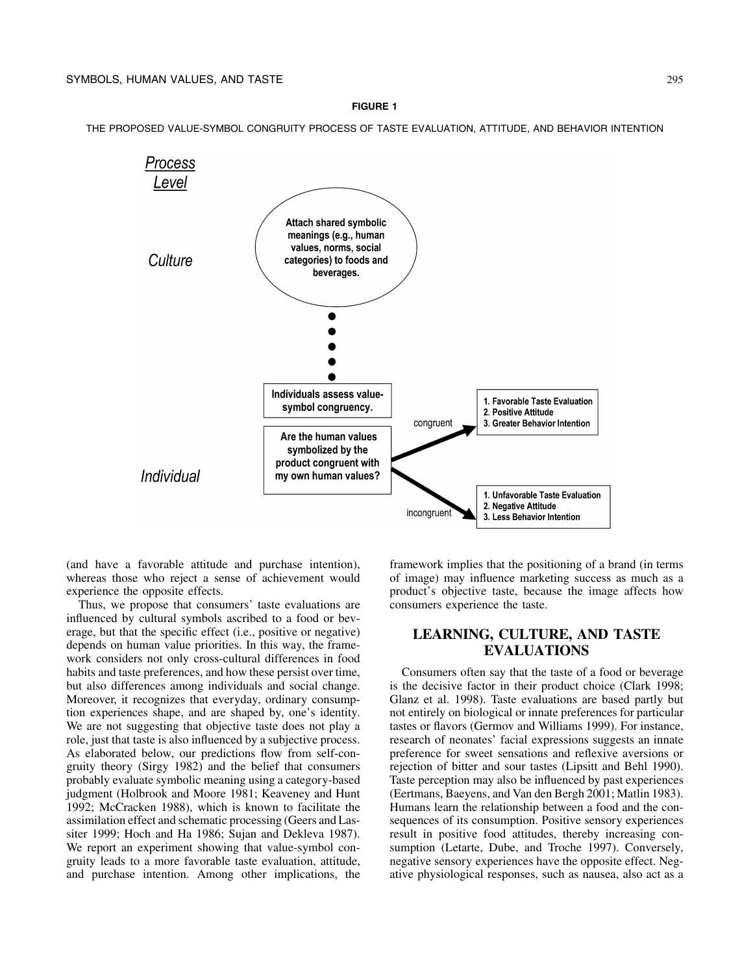#### **FIGURE 1**

THE PROPOSED VALUE-SYMBOL CONGRUITY PROCESS OF TASTE EVALUATION, ATTITUDE, AND BEHAVIOR INTENTION



(and have a favorable attitude and purchase intention), whereas those who reject a sense of achievement would experience the opposite effects.

Thus, we propose that consumers' taste evaluations are influenced by cultural symbols ascribed to a food or beverage, but that the specific effect (i.e., positive or negative) depends on human value priorities. In this way, the framework considers not only cross-cultural differences in food habits and taste preferences, and how these persist over time, but also differences among individuals and social change. Moreover, it recognizes that everyday, ordinary consumption experiences shape, and are shaped by, one's identity. We are not suggesting that objective taste does not play a role, just that taste is also influenced by a subjective process. As elaborated below, our predictions flow from self-congruity theory (Sirgy 1982) and the belief that consumers probably evaluate symbolic meaning using a category-based judgment (Holbrook and Moore 1981; Keaveney and Hunt 1992; McCracken 1988), which is known to facilitate the assimilation effect and schematic processing (Geers and Lassiter 1999; Hoch and Ha 1986; Sujan and Dekleva 1987). We report an experiment showing that value-symbol congruity leads to a more favorable taste evaluation, attitude, and purchase intention. Among other implications, the

framework implies that the positioning of a brand (in terms of image) may influence marketing success as much as a product's objective taste, because the image affects how consumers experience the taste.

## **LEARNING, CULTURE, AND TASTE EVALUATIONS**

Consumers often say that the taste of a food or beverage is the decisive factor in their product choice (Clark 1998; Glanz et al. 1998). Taste evaluations are based partly but not entirely on biological or innate preferences for particular tastes or flavors (Germov and Williams 1999). For instance, research of neonates' facial expressions suggests an innate preference for sweet sensations and reflexive aversions or rejection of bitter and sour tastes (Lipsitt and Behl 1990). Taste perception may also be influenced by past experiences (Eertmans, Baeyens, and Van den Bergh 2001; Matlin 1983). Humans learn the relationship between a food and the consequences of its consumption. Positive sensory experiences result in positive food attitudes, thereby increasing consumption (Letarte, Dube, and Troche 1997). Conversely, negative sensory experiences have the opposite effect. Negative physiological responses, such as nausea, also act as a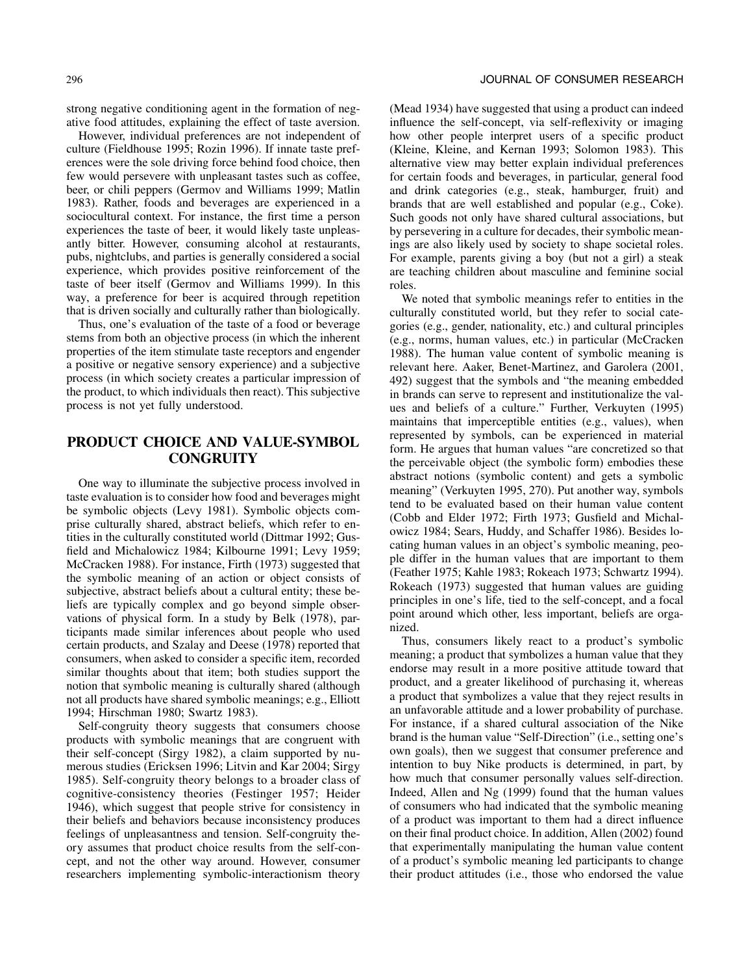strong negative conditioning agent in the formation of negative food attitudes, explaining the effect of taste aversion.

However, individual preferences are not independent of culture (Fieldhouse 1995; Rozin 1996). If innate taste preferences were the sole driving force behind food choice, then few would persevere with unpleasant tastes such as coffee, beer, or chili peppers (Germov and Williams 1999; Matlin 1983). Rather, foods and beverages are experienced in a sociocultural context. For instance, the first time a person experiences the taste of beer, it would likely taste unpleasantly bitter. However, consuming alcohol at restaurants, pubs, nightclubs, and parties is generally considered a social experience, which provides positive reinforcement of the taste of beer itself (Germov and Williams 1999). In this way, a preference for beer is acquired through repetition that is driven socially and culturally rather than biologically.

Thus, one's evaluation of the taste of a food or beverage stems from both an objective process (in which the inherent properties of the item stimulate taste receptors and engender a positive or negative sensory experience) and a subjective process (in which society creates a particular impression of the product, to which individuals then react). This subjective process is not yet fully understood.

## **PRODUCT CHOICE AND VALUE-SYMBOL CONGRUITY**

One way to illuminate the subjective process involved in taste evaluation is to consider how food and beverages might be symbolic objects (Levy 1981). Symbolic objects comprise culturally shared, abstract beliefs, which refer to entities in the culturally constituted world (Dittmar 1992; Gusfield and Michalowicz 1984; Kilbourne 1991; Levy 1959; McCracken 1988). For instance, Firth (1973) suggested that the symbolic meaning of an action or object consists of subjective, abstract beliefs about a cultural entity; these beliefs are typically complex and go beyond simple observations of physical form. In a study by Belk (1978), participants made similar inferences about people who used certain products, and Szalay and Deese (1978) reported that consumers, when asked to consider a specific item, recorded similar thoughts about that item; both studies support the notion that symbolic meaning is culturally shared (although not all products have shared symbolic meanings; e.g., Elliott 1994; Hirschman 1980; Swartz 1983).

Self-congruity theory suggests that consumers choose products with symbolic meanings that are congruent with their self-concept (Sirgy 1982), a claim supported by numerous studies (Ericksen 1996; Litvin and Kar 2004; Sirgy 1985). Self-congruity theory belongs to a broader class of cognitive-consistency theories (Festinger 1957; Heider 1946), which suggest that people strive for consistency in their beliefs and behaviors because inconsistency produces feelings of unpleasantness and tension. Self-congruity theory assumes that product choice results from the self-concept, and not the other way around. However, consumer researchers implementing symbolic-interactionism theory

(Mead 1934) have suggested that using a product can indeed influence the self-concept, via self-reflexivity or imaging how other people interpret users of a specific product (Kleine, Kleine, and Kernan 1993; Solomon 1983). This alternative view may better explain individual preferences for certain foods and beverages, in particular, general food and drink categories (e.g., steak, hamburger, fruit) and brands that are well established and popular (e.g., Coke). Such goods not only have shared cultural associations, but by persevering in a culture for decades, their symbolic meanings are also likely used by society to shape societal roles. For example, parents giving a boy (but not a girl) a steak are teaching children about masculine and feminine social roles.

We noted that symbolic meanings refer to entities in the culturally constituted world, but they refer to social categories (e.g., gender, nationality, etc.) and cultural principles (e.g., norms, human values, etc.) in particular (McCracken 1988). The human value content of symbolic meaning is relevant here. Aaker, Benet-Martinez, and Garolera (2001, 492) suggest that the symbols and "the meaning embedded in brands can serve to represent and institutionalize the values and beliefs of a culture." Further, Verkuyten (1995) maintains that imperceptible entities (e.g., values), when represented by symbols, can be experienced in material form. He argues that human values "are concretized so that the perceivable object (the symbolic form) embodies these abstract notions (symbolic content) and gets a symbolic meaning" (Verkuyten 1995, 270). Put another way, symbols tend to be evaluated based on their human value content (Cobb and Elder 1972; Firth 1973; Gusfield and Michalowicz 1984; Sears, Huddy, and Schaffer 1986). Besides locating human values in an object's symbolic meaning, people differ in the human values that are important to them (Feather 1975; Kahle 1983; Rokeach 1973; Schwartz 1994). Rokeach (1973) suggested that human values are guiding principles in one's life, tied to the self-concept, and a focal point around which other, less important, beliefs are organized.

Thus, consumers likely react to a product's symbolic meaning; a product that symbolizes a human value that they endorse may result in a more positive attitude toward that product, and a greater likelihood of purchasing it, whereas a product that symbolizes a value that they reject results in an unfavorable attitude and a lower probability of purchase. For instance, if a shared cultural association of the Nike brand is the human value "Self-Direction" (i.e., setting one's own goals), then we suggest that consumer preference and intention to buy Nike products is determined, in part, by how much that consumer personally values self-direction. Indeed, Allen and Ng (1999) found that the human values of consumers who had indicated that the symbolic meaning of a product was important to them had a direct influence on their final product choice. In addition, Allen (2002) found that experimentally manipulating the human value content of a product's symbolic meaning led participants to change their product attitudes (i.e., those who endorsed the value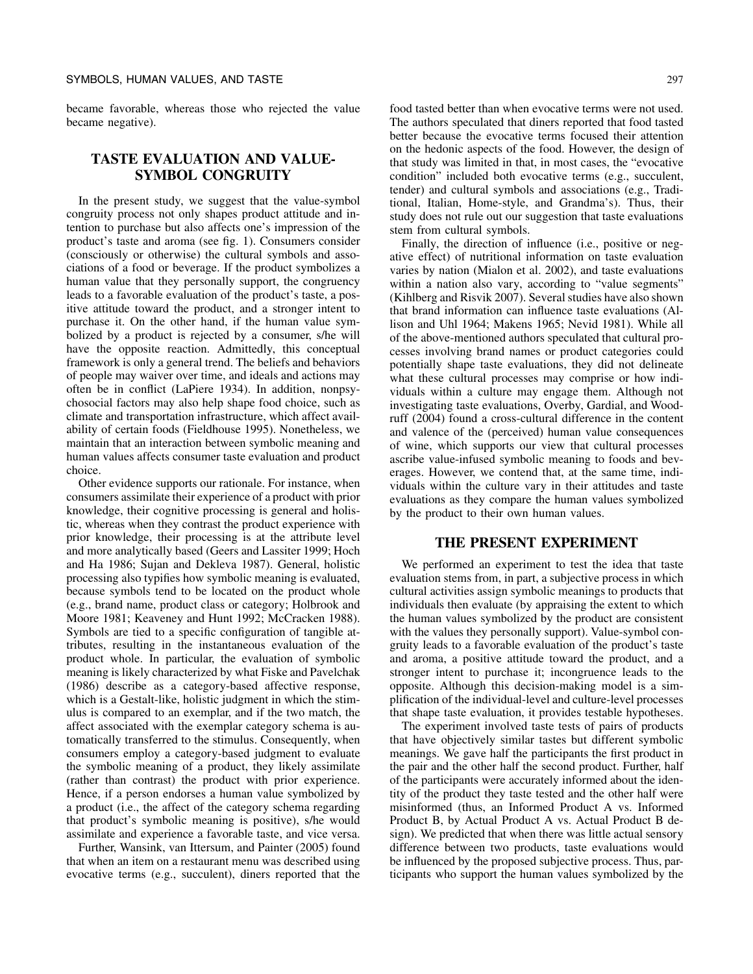became favorable, whereas those who rejected the value became negative).

## **TASTE EVALUATION AND VALUE-SYMBOL CONGRUITY**

In the present study, we suggest that the value-symbol congruity process not only shapes product attitude and intention to purchase but also affects one's impression of the product's taste and aroma (see fig. 1). Consumers consider (consciously or otherwise) the cultural symbols and associations of a food or beverage. If the product symbolizes a human value that they personally support, the congruency leads to a favorable evaluation of the product's taste, a positive attitude toward the product, and a stronger intent to purchase it. On the other hand, if the human value symbolized by a product is rejected by a consumer, s/he will have the opposite reaction. Admittedly, this conceptual framework is only a general trend. The beliefs and behaviors of people may waiver over time, and ideals and actions may often be in conflict (LaPiere 1934). In addition, nonpsychosocial factors may also help shape food choice, such as climate and transportation infrastructure, which affect availability of certain foods (Fieldhouse 1995). Nonetheless, we maintain that an interaction between symbolic meaning and human values affects consumer taste evaluation and product choice.

Other evidence supports our rationale. For instance, when consumers assimilate their experience of a product with prior knowledge, their cognitive processing is general and holistic, whereas when they contrast the product experience with prior knowledge, their processing is at the attribute level and more analytically based (Geers and Lassiter 1999; Hoch and Ha 1986; Sujan and Dekleva 1987). General, holistic processing also typifies how symbolic meaning is evaluated, because symbols tend to be located on the product whole (e.g., brand name, product class or category; Holbrook and Moore 1981; Keaveney and Hunt 1992; McCracken 1988). Symbols are tied to a specific configuration of tangible attributes, resulting in the instantaneous evaluation of the product whole. In particular, the evaluation of symbolic meaning is likely characterized by what Fiske and Pavelchak (1986) describe as a category-based affective response, which is a Gestalt-like, holistic judgment in which the stimulus is compared to an exemplar, and if the two match, the affect associated with the exemplar category schema is automatically transferred to the stimulus. Consequently, when consumers employ a category-based judgment to evaluate the symbolic meaning of a product, they likely assimilate (rather than contrast) the product with prior experience. Hence, if a person endorses a human value symbolized by a product (i.e., the affect of the category schema regarding that product's symbolic meaning is positive), s/he would assimilate and experience a favorable taste, and vice versa.

Further, Wansink, van Ittersum, and Painter (2005) found that when an item on a restaurant menu was described using evocative terms (e.g., succulent), diners reported that the food tasted better than when evocative terms were not used. The authors speculated that diners reported that food tasted better because the evocative terms focused their attention on the hedonic aspects of the food. However, the design of that study was limited in that, in most cases, the "evocative condition" included both evocative terms (e.g., succulent, tender) and cultural symbols and associations (e.g., Traditional, Italian, Home-style, and Grandma's). Thus, their study does not rule out our suggestion that taste evaluations stem from cultural symbols.

Finally, the direction of influence (i.e., positive or negative effect) of nutritional information on taste evaluation varies by nation (Mialon et al. 2002), and taste evaluations within a nation also vary, according to "value segments" (Kihlberg and Risvik 2007). Several studies have also shown that brand information can influence taste evaluations (Allison and Uhl 1964; Makens 1965; Nevid 1981). While all of the above-mentioned authors speculated that cultural processes involving brand names or product categories could potentially shape taste evaluations, they did not delineate what these cultural processes may comprise or how individuals within a culture may engage them. Although not investigating taste evaluations, Overby, Gardial, and Woodruff (2004) found a cross-cultural difference in the content and valence of the (perceived) human value consequences of wine, which supports our view that cultural processes ascribe value-infused symbolic meaning to foods and beverages. However, we contend that, at the same time, individuals within the culture vary in their attitudes and taste evaluations as they compare the human values symbolized by the product to their own human values.

## **THE PRESENT EXPERIMENT**

We performed an experiment to test the idea that taste evaluation stems from, in part, a subjective process in which cultural activities assign symbolic meanings to products that individuals then evaluate (by appraising the extent to which the human values symbolized by the product are consistent with the values they personally support). Value-symbol congruity leads to a favorable evaluation of the product's taste and aroma, a positive attitude toward the product, and a stronger intent to purchase it; incongruence leads to the opposite. Although this decision-making model is a simplification of the individual-level and culture-level processes that shape taste evaluation, it provides testable hypotheses.

The experiment involved taste tests of pairs of products that have objectively similar tastes but different symbolic meanings. We gave half the participants the first product in the pair and the other half the second product. Further, half of the participants were accurately informed about the identity of the product they taste tested and the other half were misinformed (thus, an Informed Product A vs. Informed Product B, by Actual Product A vs. Actual Product B design). We predicted that when there was little actual sensory difference between two products, taste evaluations would be influenced by the proposed subjective process. Thus, participants who support the human values symbolized by the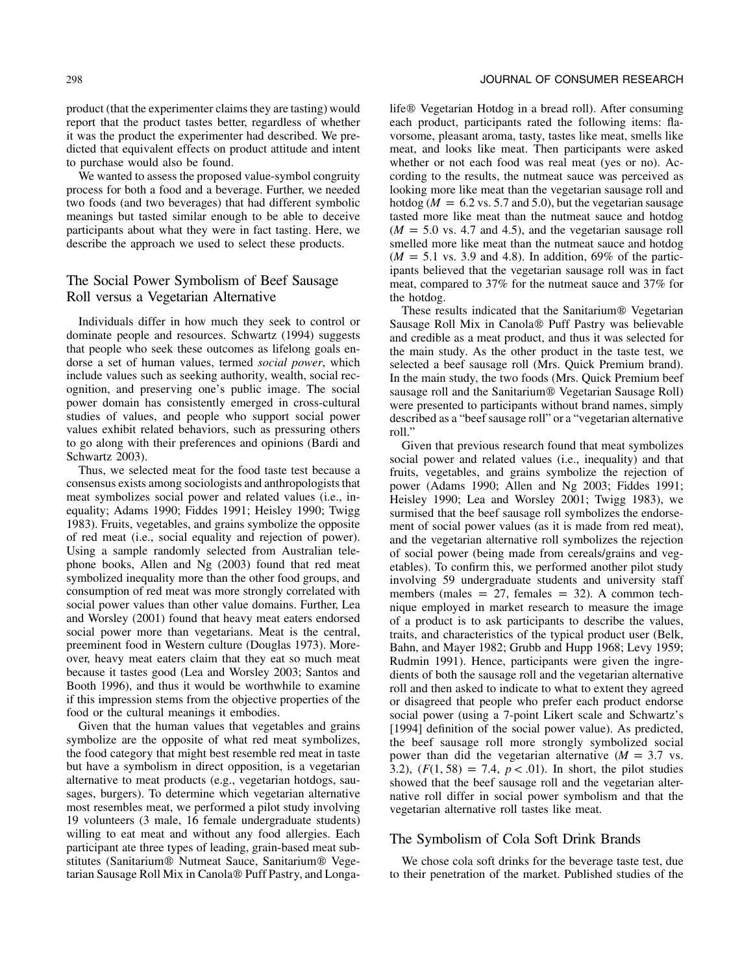product (that the experimenter claims they are tasting) would report that the product tastes better, regardless of whether it was the product the experimenter had described. We predicted that equivalent effects on product attitude and intent to purchase would also be found.

We wanted to assess the proposed value-symbol congruity process for both a food and a beverage. Further, we needed two foods (and two beverages) that had different symbolic meanings but tasted similar enough to be able to deceive participants about what they were in fact tasting. Here, we describe the approach we used to select these products.

## The Social Power Symbolism of Beef Sausage Roll versus a Vegetarian Alternative

Individuals differ in how much they seek to control or dominate people and resources. Schwartz (1994) suggests that people who seek these outcomes as lifelong goals endorse a set of human values, termed *social power*, which include values such as seeking authority, wealth, social recognition, and preserving one's public image. The social power domain has consistently emerged in cross-cultural studies of values, and people who support social power values exhibit related behaviors, such as pressuring others to go along with their preferences and opinions (Bardi and Schwartz 2003).

Thus, we selected meat for the food taste test because a consensus exists among sociologists and anthropologists that meat symbolizes social power and related values (i.e., inequality; Adams 1990; Fiddes 1991; Heisley 1990; Twigg 1983). Fruits, vegetables, and grains symbolize the opposite of red meat (i.e., social equality and rejection of power). Using a sample randomly selected from Australian telephone books, Allen and Ng (2003) found that red meat symbolized inequality more than the other food groups, and consumption of red meat was more strongly correlated with social power values than other value domains. Further, Lea and Worsley (2001) found that heavy meat eaters endorsed social power more than vegetarians. Meat is the central, preeminent food in Western culture (Douglas 1973). Moreover, heavy meat eaters claim that they eat so much meat because it tastes good (Lea and Worsley 2003; Santos and Booth 1996), and thus it would be worthwhile to examine if this impression stems from the objective properties of the food or the cultural meanings it embodies.

Given that the human values that vegetables and grains symbolize are the opposite of what red meat symbolizes, the food category that might best resemble red meat in taste but have a symbolism in direct opposition, is a vegetarian alternative to meat products (e.g., vegetarian hotdogs, sausages, burgers). To determine which vegetarian alternative most resembles meat, we performed a pilot study involving 19 volunteers (3 male, 16 female undergraduate students) willing to eat meat and without any food allergies. Each participant ate three types of leading, grain-based meat substitutes (Sanitarium® Nutmeat Sauce, Sanitarium® Vegetarian Sausage Roll Mix in Canola Puff Pastry, and Longalife® Vegetarian Hotdog in a bread roll). After consuming each product, participants rated the following items: flavorsome, pleasant aroma, tasty, tastes like meat, smells like meat, and looks like meat. Then participants were asked whether or not each food was real meat (yes or no). According to the results, the nutmeat sauce was perceived as looking more like meat than the vegetarian sausage roll and hotdog ( $M = 6.2$  vs. 5.7 and 5.0), but the vegetarian sausage tasted more like meat than the nutmeat sauce and hotdog  $(M = 5.0 \text{ vs. } 4.7 \text{ and } 4.5)$ , and the vegetarian sausage roll smelled more like meat than the nutmeat sauce and hotdog  $(M = 5.1$  vs. 3.9 and 4.8). In addition, 69% of the participants believed that the vegetarian sausage roll was in fact meat, compared to 37% for the nutmeat sauce and 37% for the hotdog.

These results indicated that the Sanitarium® Vegetarian Sausage Roll Mix in Canola® Puff Pastry was believable and credible as a meat product, and thus it was selected for the main study. As the other product in the taste test, we selected a beef sausage roll (Mrs. Quick Premium brand). In the main study, the two foods (Mrs. Quick Premium beef sausage roll and the Sanitarium® Vegetarian Sausage Roll) were presented to participants without brand names, simply described as a "beef sausage roll" or a "vegetarian alternative roll."

Given that previous research found that meat symbolizes social power and related values (i.e., inequality) and that fruits, vegetables, and grains symbolize the rejection of power (Adams 1990; Allen and Ng 2003; Fiddes 1991; Heisley 1990; Lea and Worsley 2001; Twigg 1983), we surmised that the beef sausage roll symbolizes the endorsement of social power values (as it is made from red meat), and the vegetarian alternative roll symbolizes the rejection of social power (being made from cereals/grains and vegetables). To confirm this, we performed another pilot study involving 59 undergraduate students and university staff members (males  $= 27$ , females  $= 32$ ). A common technique employed in market research to measure the image of a product is to ask participants to describe the values, traits, and characteristics of the typical product user (Belk, Bahn, and Mayer 1982; Grubb and Hupp 1968; Levy 1959; Rudmin 1991). Hence, participants were given the ingredients of both the sausage roll and the vegetarian alternative roll and then asked to indicate to what to extent they agreed or disagreed that people who prefer each product endorse social power (using a 7-point Likert scale and Schwartz's [1994] definition of the social power value). As predicted, the beef sausage roll more strongly symbolized social power than did the vegetarian alternative  $(M = 3.7 \text{ vs.})$ 3.2),  $(F(1, 58) = 7.4, p < .01)$ . In short, the pilot studies showed that the beef sausage roll and the vegetarian alternative roll differ in social power symbolism and that the vegetarian alternative roll tastes like meat.

### The Symbolism of Cola Soft Drink Brands

We chose cola soft drinks for the beverage taste test, due to their penetration of the market. Published studies of the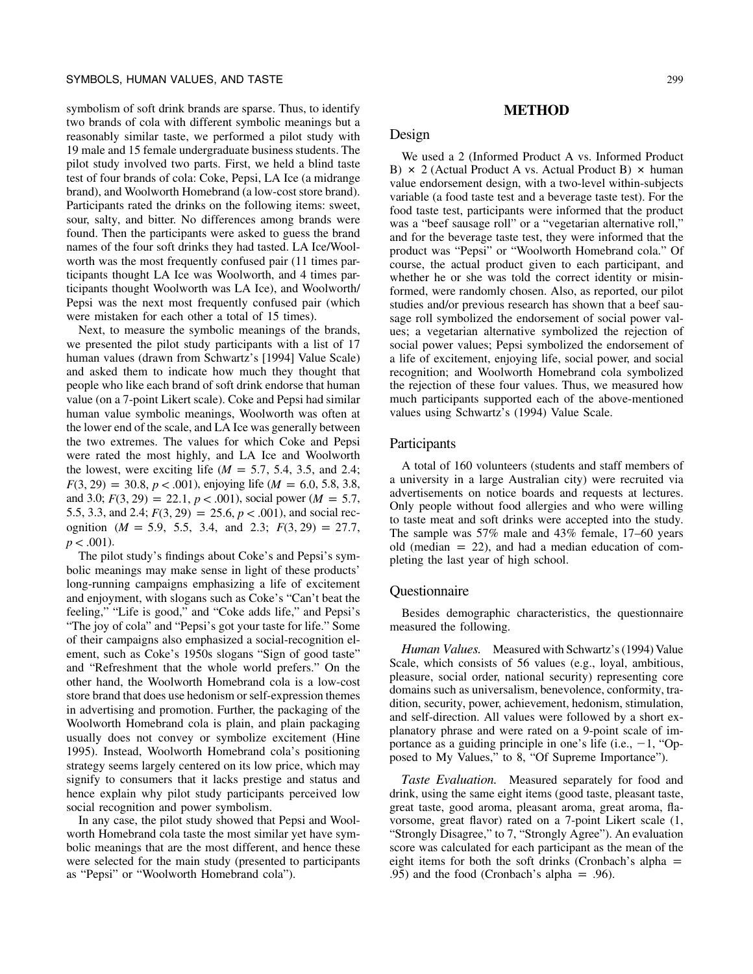symbolism of soft drink brands are sparse. Thus, to identify two brands of cola with different symbolic meanings but a reasonably similar taste, we performed a pilot study with 19 male and 15 female undergraduate business students. The pilot study involved two parts. First, we held a blind taste test of four brands of cola: Coke, Pepsi, LA Ice (a midrange brand), and Woolworth Homebrand (a low-cost store brand). Participants rated the drinks on the following items: sweet, sour, salty, and bitter. No differences among brands were found. Then the participants were asked to guess the brand names of the four soft drinks they had tasted. LA Ice/Woolworth was the most frequently confused pair (11 times participants thought LA Ice was Woolworth, and 4 times participants thought Woolworth was LA Ice), and Woolworth/ Pepsi was the next most frequently confused pair (which were mistaken for each other a total of 15 times).

Next, to measure the symbolic meanings of the brands, we presented the pilot study participants with a list of 17 human values (drawn from Schwartz's [1994] Value Scale) and asked them to indicate how much they thought that people who like each brand of soft drink endorse that human value (on a 7-point Likert scale). Coke and Pepsi had similar human value symbolic meanings, Woolworth was often at the lower end of the scale, and LA Ice was generally between the two extremes. The values for which Coke and Pepsi were rated the most highly, and LA Ice and Woolworth the lowest, were exciting life  $(M = 5.7, 5.4, 3.5, \text{ and } 2.4;$  $F(3, 29) = 30.8, p < .001$ , enjoying life (*M* = 6.0, 5.8, 3.8, and 3.0;  $F(3, 29) = 22.1, p < .001$ , social power ( $M = 5.7$ , 5.5, 3.3, and 2.4;  $F(3, 29) = 25.6$ ,  $p < .001$ ), and social recognition ( $M = 5.9$ , 5.5, 3.4, and 2.3;  $F(3, 29) = 27.7$ ,  $p < .001$ ).

The pilot study's findings about Coke's and Pepsi's symbolic meanings may make sense in light of these products' long-running campaigns emphasizing a life of excitement and enjoyment, with slogans such as Coke's "Can't beat the feeling," "Life is good," and "Coke adds life," and Pepsi's "The joy of cola" and "Pepsi's got your taste for life." Some of their campaigns also emphasized a social-recognition element, such as Coke's 1950s slogans "Sign of good taste" and "Refreshment that the whole world prefers." On the other hand, the Woolworth Homebrand cola is a low-cost store brand that does use hedonism or self-expression themes in advertising and promotion. Further, the packaging of the Woolworth Homebrand cola is plain, and plain packaging usually does not convey or symbolize excitement (Hine 1995). Instead, Woolworth Homebrand cola's positioning strategy seems largely centered on its low price, which may signify to consumers that it lacks prestige and status and hence explain why pilot study participants perceived low social recognition and power symbolism.

In any case, the pilot study showed that Pepsi and Woolworth Homebrand cola taste the most similar yet have symbolic meanings that are the most different, and hence these were selected for the main study (presented to participants as "Pepsi" or "Woolworth Homebrand cola").

## **METHOD**

## Design

We used a 2 (Informed Product A vs. Informed Product B)  $\times$  2 (Actual Product A vs. Actual Product B)  $\times$  human value endorsement design, with a two-level within-subjects variable (a food taste test and a beverage taste test). For the food taste test, participants were informed that the product was a "beef sausage roll" or a "vegetarian alternative roll," and for the beverage taste test, they were informed that the product was "Pepsi" or "Woolworth Homebrand cola." Of course, the actual product given to each participant, and whether he or she was told the correct identity or misinformed, were randomly chosen. Also, as reported, our pilot studies and/or previous research has shown that a beef sausage roll symbolized the endorsement of social power values; a vegetarian alternative symbolized the rejection of social power values; Pepsi symbolized the endorsement of a life of excitement, enjoying life, social power, and social recognition; and Woolworth Homebrand cola symbolized the rejection of these four values. Thus, we measured how much participants supported each of the above-mentioned values using Schwartz's (1994) Value Scale.

#### Participants

A total of 160 volunteers (students and staff members of a university in a large Australian city) were recruited via advertisements on notice boards and requests at lectures. Only people without food allergies and who were willing to taste meat and soft drinks were accepted into the study. The sample was 57% male and 43% female, 17–60 years old (median  $= 22$ ), and had a median education of completing the last year of high school.

#### Questionnaire

Besides demographic characteristics, the questionnaire measured the following.

*Human Values.* Measured with Schwartz's (1994) Value Scale, which consists of 56 values (e.g., loyal, ambitious, pleasure, social order, national security) representing core domains such as universalism, benevolence, conformity, tradition, security, power, achievement, hedonism, stimulation, and self-direction. All values were followed by a short explanatory phrase and were rated on a 9-point scale of importance as a guiding principle in one's life (i.e.,  $-1$ , "Opposed to My Values," to 8, "Of Supreme Importance").

*Taste Evaluation.* Measured separately for food and drink, using the same eight items (good taste, pleasant taste, great taste, good aroma, pleasant aroma, great aroma, flavorsome, great flavor) rated on a 7-point Likert scale (1, "Strongly Disagree," to 7, "Strongly Agree"). An evaluation score was calculated for each participant as the mean of the eight items for both the soft drinks (Cronbach's alpha  $=$ .95) and the food (Cronbach's alpha = .96).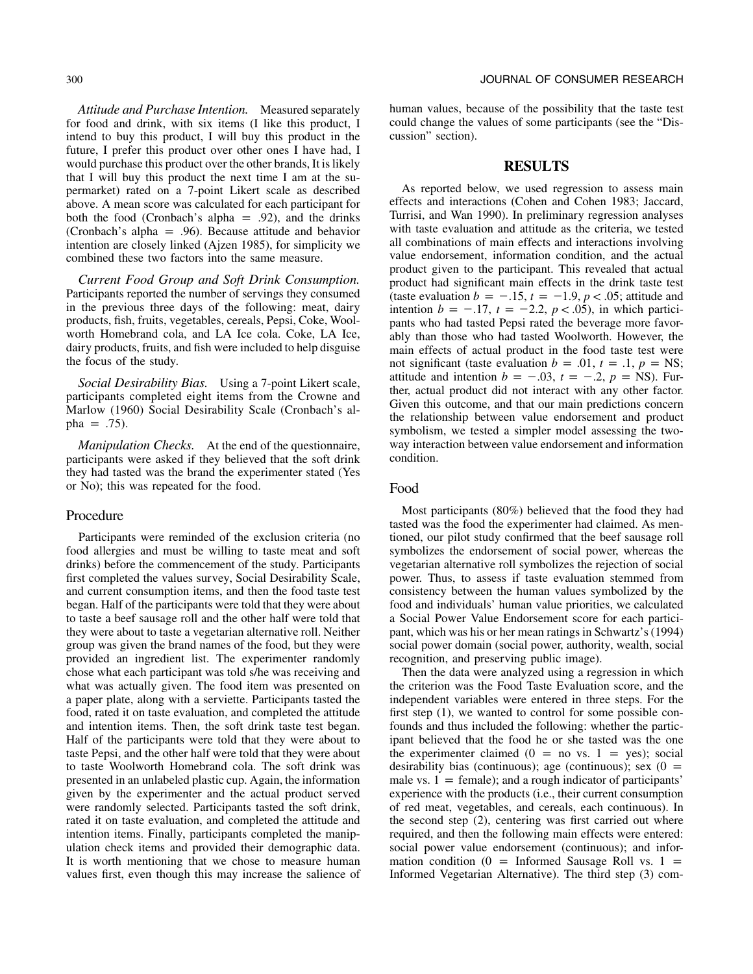*Attitude and Purchase Intention.* Measured separately for food and drink, with six items (I like this product, I intend to buy this product, I will buy this product in the future, I prefer this product over other ones I have had, I would purchase this product over the other brands, It is likely that I will buy this product the next time I am at the supermarket) rated on a 7-point Likert scale as described above. A mean score was calculated for each participant for both the food (Cronbach's alpha =  $.92$ ), and the drinks (Cronbach's alpha = .96). Because attitude and behavior intention are closely linked (Ajzen 1985), for simplicity we combined these two factors into the same measure.

*Current Food Group and Soft Drink Consumption.* Participants reported the number of servings they consumed in the previous three days of the following: meat, dairy products, fish, fruits, vegetables, cereals, Pepsi, Coke, Woolworth Homebrand cola, and LA Ice cola. Coke, LA Ice, dairy products, fruits, and fish were included to help disguise the focus of the study.

*Social Desirability Bias.* Using a 7-point Likert scale, participants completed eight items from the Crowne and Marlow (1960) Social Desirability Scale (Cronbach's alpha =  $.75$ ).

*Manipulation Checks.* At the end of the questionnaire, participants were asked if they believed that the soft drink they had tasted was the brand the experimenter stated (Yes or No); this was repeated for the food.

#### Procedure

Participants were reminded of the exclusion criteria (no food allergies and must be willing to taste meat and soft drinks) before the commencement of the study. Participants first completed the values survey, Social Desirability Scale, and current consumption items, and then the food taste test began. Half of the participants were told that they were about to taste a beef sausage roll and the other half were told that they were about to taste a vegetarian alternative roll. Neither group was given the brand names of the food, but they were provided an ingredient list. The experimenter randomly chose what each participant was told s/he was receiving and what was actually given. The food item was presented on a paper plate, along with a serviette. Participants tasted the food, rated it on taste evaluation, and completed the attitude and intention items. Then, the soft drink taste test began. Half of the participants were told that they were about to taste Pepsi, and the other half were told that they were about to taste Woolworth Homebrand cola. The soft drink was presented in an unlabeled plastic cup. Again, the information given by the experimenter and the actual product served were randomly selected. Participants tasted the soft drink, rated it on taste evaluation, and completed the attitude and intention items. Finally, participants completed the manipulation check items and provided their demographic data. It is worth mentioning that we chose to measure human values first, even though this may increase the salience of human values, because of the possibility that the taste test could change the values of some participants (see the "Discussion" section).

#### **RESULTS**

As reported below, we used regression to assess main effects and interactions (Cohen and Cohen 1983; Jaccard, Turrisi, and Wan 1990). In preliminary regression analyses with taste evaluation and attitude as the criteria, we tested all combinations of main effects and interactions involving value endorsement, information condition, and the actual product given to the participant. This revealed that actual product had significant main effects in the drink taste test (taste evaluation  $b = -.15$ ,  $t = -1.9$ ,  $p < .05$ ; attitude and intention  $b = -.17$ ,  $t = -2.2$ ,  $p < .05$ ), in which participants who had tasted Pepsi rated the beverage more favorably than those who had tasted Woolworth. However, the main effects of actual product in the food taste test were not significant (taste evaluation  $b = .01$ ,  $t = .1$ ,  $p = \text{NS}$ ; attitude and intention  $b = -.03$ ,  $t = -.2$ ,  $p = NS$ ). Further, actual product did not interact with any other factor. Given this outcome, and that our main predictions concern the relationship between value endorsement and product symbolism, we tested a simpler model assessing the twoway interaction between value endorsement and information condition.

#### Food

Most participants (80%) believed that the food they had tasted was the food the experimenter had claimed. As mentioned, our pilot study confirmed that the beef sausage roll symbolizes the endorsement of social power, whereas the vegetarian alternative roll symbolizes the rejection of social power. Thus, to assess if taste evaluation stemmed from consistency between the human values symbolized by the food and individuals' human value priorities, we calculated a Social Power Value Endorsement score for each participant, which was his or her mean ratings in Schwartz's (1994) social power domain (social power, authority, wealth, social recognition, and preserving public image).

Then the data were analyzed using a regression in which the criterion was the Food Taste Evaluation score, and the independent variables were entered in three steps. For the first step (1), we wanted to control for some possible confounds and thus included the following: whether the participant believed that the food he or she tasted was the one the experimenter claimed  $(0 = no vs. 1 = ves)$ ; social desirability bias (continuous); age (continuous); sex  $(0 =$ male vs.  $1 = \text{female}$ ; and a rough indicator of participants' experience with the products (i.e., their current consumption of red meat, vegetables, and cereals, each continuous). In the second step (2), centering was first carried out where required, and then the following main effects were entered: social power value endorsement (continuous); and information condition (0 = Informed Sausage Roll vs. 1 = Informed Vegetarian Alternative). The third step (3) com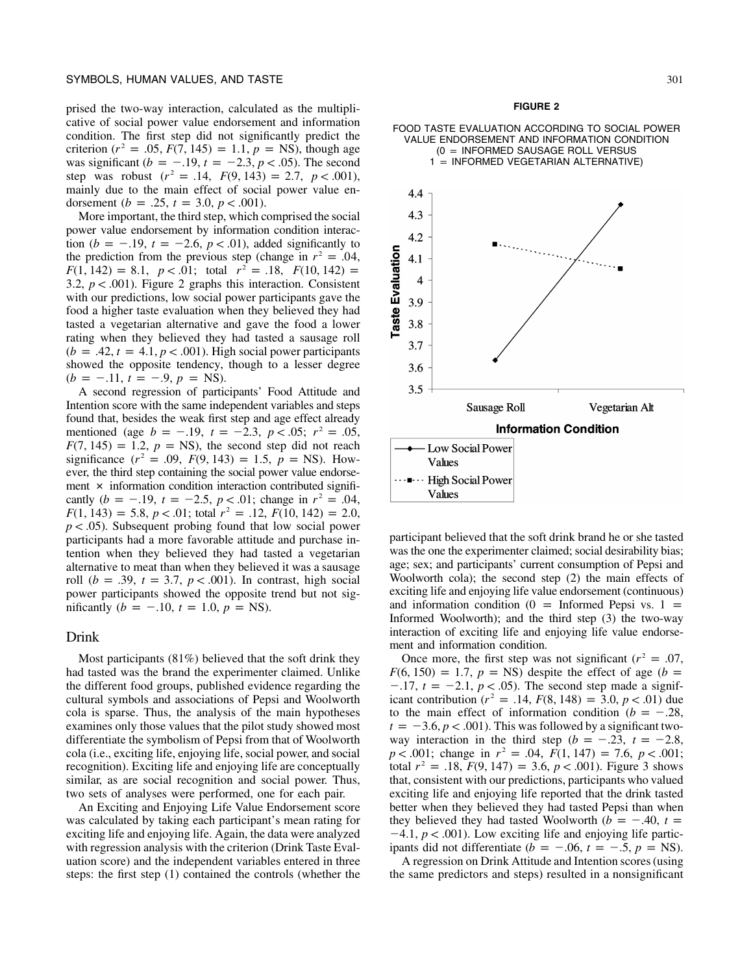prised the two-way interaction, calculated as the multiplicative of social power value endorsement and information condition. The first step did not significantly predict the criterion ( $r^2 = .05$ ,  $F(7, 145) = 1.1$ ,  $p = NS$ ), though age was significant ( $b = -.19$ ,  $t = -2.3$ ,  $p < .05$ ). The second step was robust  $(r^2 = .14, F(9, 143) = 2.7, p < .001)$ , mainly due to the main effect of social power value endorsement ( $b = .25$ ,  $t = 3.0$ ,  $p < .001$ ).

More important, the third step, which comprised the social power value endorsement by information condition interaction ( $b = -.19$ ,  $t = -2.6$ ,  $p < .01$ ), added significantly to the prediction from the previous step (change in  $r^2 = .04$ ,  $F(1, 142) = 8.1, p < .01$ ; *total*  $r^2 = .18, F(10, 142) =$ 3.2,  $p < .001$ ). Figure 2 graphs this interaction. Consistent with our predictions, low social power participants gave the food a higher taste evaluation when they believed they had tasted a vegetarian alternative and gave the food a lower rating when they believed they had tasted a sausage roll  $(b = .42, t = 4.1, p < .001)$ . High social power participants showed the opposite tendency, though to a lesser degree  $(b = -.11, t = -.9, p = NS).$ 

A second regression of participants' Food Attitude and Intention score with the same independent variables and steps found that, besides the weak first step and age effect already mentioned (age  $b = -.19$ ,  $t = -2.3$ ,  $p < .05$ ;  $r^2 = .05$ ,  $F(7, 145) = 1.2, p = NS$ , the second step did not reach significance  $(r^2 = .09, F(9, 143) = 1.5, p = NS)$ . However, the third step containing the social power value endorsement  $\times$  information condition interaction contributed significantly ( $b = -.19$ ,  $t = -2.5$ ,  $p < .01$ ; change in  $r^2 = .04$ ,  $F(1, 143) = 5.8, p < .01$ ; *total*  $r^2 = .12, F(10, 142) = 2.0$ ,  $p < .05$ ). Subsequent probing found that low social power participants had a more favorable attitude and purchase intention when they believed they had tasted a vegetarian alternative to meat than when they believed it was a sausage roll ( $b = .39$ ,  $t = 3.7$ ,  $p < .001$ ). In contrast, high social power participants showed the opposite trend but not significantly ( $b = -.10$ ,  $t = 1.0$ ,  $p = NS$ ).

#### Drink

Most participants (81%) believed that the soft drink they had tasted was the brand the experimenter claimed. Unlike the different food groups, published evidence regarding the cultural symbols and associations of Pepsi and Woolworth cola is sparse. Thus, the analysis of the main hypotheses examines only those values that the pilot study showed most differentiate the symbolism of Pepsi from that of Woolworth cola (i.e., exciting life, enjoying life, social power, and social recognition). Exciting life and enjoying life are conceptually similar, as are social recognition and social power. Thus, two sets of analyses were performed, one for each pair.

An Exciting and Enjoying Life Value Endorsement score was calculated by taking each participant's mean rating for exciting life and enjoying life. Again, the data were analyzed with regression analysis with the criterion (Drink Taste Evaluation score) and the independent variables entered in three steps: the first step (1) contained the controls (whether the

#### **FIGURE 2**



participant believed that the soft drink brand he or she tasted was the one the experimenter claimed; social desirability bias; age; sex; and participants' current consumption of Pepsi and Woolworth cola); the second step (2) the main effects of exciting life and enjoying life value endorsement (continuous) and information condition  $(0 = Informed$  Pepsi vs.  $1 =$ Informed Woolworth); and the third step (3) the two-way interaction of exciting life and enjoying life value endorsement and information condition.

Once more, the first step was not significant ( $r^2 = .07$ ,  $F(6, 150) = 1.7$ ,  $p = NS$ ) despite the effect of age (*b* =  $-17$ ,  $t = -2.1$ ,  $p < .05$ ). The second step made a significant contribution ( $r^2 = .14$ ,  $F(8, 148) = 3.0, p < .01$ ) due to the main effect of information condition  $(b = -.28, )$  $t = -3.6, p < .001$ . This was followed by a significant twoway interaction in the third step ( $b = -.23$ ,  $t = -2.8$ ,  $p < .001$ ; change in  $r^2 = .04$ ,  $F(1, 147) = 7.6$ ,  $p < .001$ ; total  $r^2 = .18$ ,  $F(9, 147) = 3.6$ ,  $p < .001$ ). Figure 3 shows that, consistent with our predictions, participants who valued exciting life and enjoying life reported that the drink tasted better when they believed they had tasted Pepsi than when they believed they had tasted Woolworth ( $b = -.40$ ,  $t =$  $-4.1, p < .001$ ). Low exciting life and enjoying life participants did not differentiate ( $b = -.06$ ,  $t = -.5$ ,  $p = NS$ ).

A regression on Drink Attitude and Intention scores (using the same predictors and steps) resulted in a nonsignificant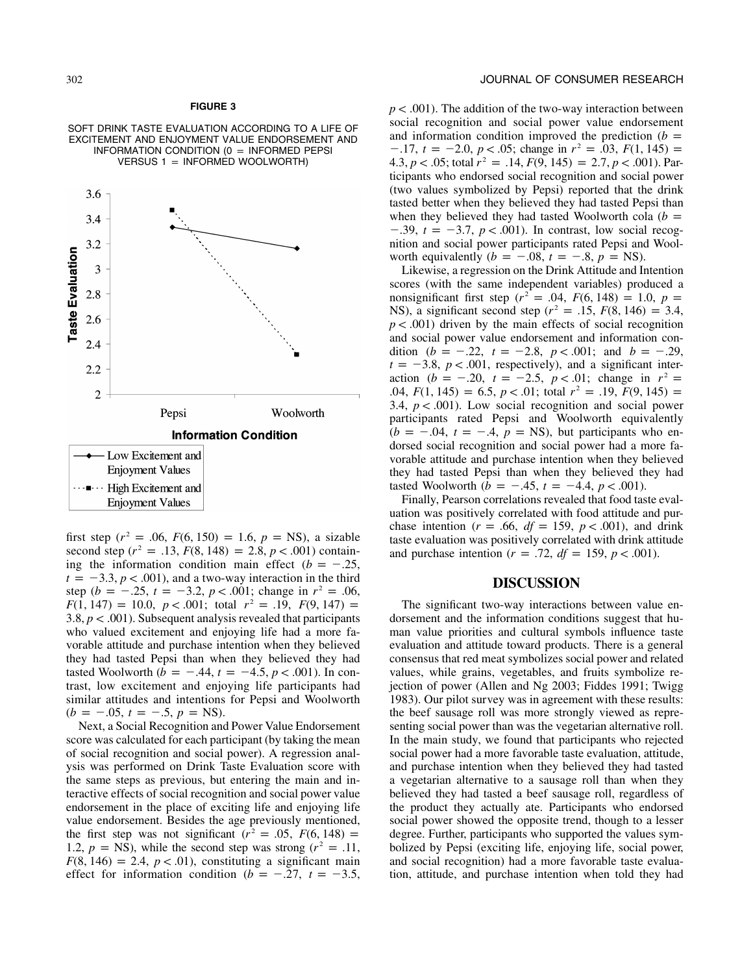#### **FIGURE 3**





first step ( $r^2 = .06$ ,  $F(6, 150) = 1.6$ ,  $p = NS$ ), a sizable second step ( $r^2 = .13$ ,  $F(8, 148) = 2.8$ ,  $p < .001$ ) containing the information condition main effect  $(b = -.25, )$  $t = -3.3$ ,  $p < .001$ ), and a two-way interaction in the third step ( $b = -.25$ ,  $t = -3.2$ ,  $p < .001$ ; change in  $r^2 = .06$ ,  $F(1, 147) = 10.0, p < .001$ ; *total*  $r^2 = .19, F(9, 147) =$ 3.8,  $p < .001$ ). Subsequent analysis revealed that participants who valued excitement and enjoying life had a more favorable attitude and purchase intention when they believed they had tasted Pepsi than when they believed they had tasted Woolworth ( $b = -.44$ ,  $t = -4.5$ ,  $p < .001$ ). In contrast, low excitement and enjoying life participants had similar attitudes and intentions for Pepsi and Woolworth  $(b = -.05, t = -.5, p = NS).$ 

Next, a Social Recognition and Power Value Endorsement score was calculated for each participant (by taking the mean of social recognition and social power). A regression analysis was performed on Drink Taste Evaluation score with the same steps as previous, but entering the main and interactive effects of social recognition and social power value endorsement in the place of exciting life and enjoying life value endorsement. Besides the age previously mentioned, the first step was not significant ( $r^2 = .05$ ,  $F(6, 148) =$ 1.2,  $p = NS$ , while the second step was strong  $(r^2 = .11, )$  $F(8, 146) = 2.4, p < .01$ , constituting a significant main effect for information condition ( $b = -.27$ ,  $t = -3.5$ ,

 $p < .001$ ). The addition of the two-way interaction between social recognition and social power value endorsement and information condition improved the prediction  $(b =$  $-17$ ,  $t = -2.0$ ,  $p < .05$ ; change in  $r^2 = .03$ ,  $F(1, 145) =$ 4.3,  $p < .05$ ; *total*  $r^2 = .14$ ,  $F(9, 145) = 2.7$ ,  $p < .001$ ). Participants who endorsed social recognition and social power (two values symbolized by Pepsi) reported that the drink tasted better when they believed they had tasted Pepsi than when they believed they had tasted Woolworth cola  $(b =$  $-0.39$ ,  $t = -3.7$ ,  $p < .001$ ). In contrast, low social recognition and social power participants rated Pepsi and Woolworth equivalently  $(b = -.08, t = -.8, p = NS)$ .

Likewise, a regression on the Drink Attitude and Intention scores (with the same independent variables) produced a nonsignificant first step ( $r^2$  = .04,  $F(6, 148)$  = 1.0,  $p$  = NS), a significant second step ( $r^2 = .15$ ,  $F(8, 146) = 3.4$ ,  $p < .001$ ) driven by the main effects of social recognition and social power value endorsement and information condition ( $b = -.22$ ,  $t = -2.8$ ,  $p < .001$ ; and  $b = -.29$ ,  $t = -3.8$ ,  $p < .001$ , respectively), and a significant interaction ( $b = -.20$ ,  $t = -2.5$ ,  $p < .01$ ; change in  $r^2 =$  $t \cdot (0.04, F(1, 145)) = 6.5, p < .01$ ; *total*  $r^2 = .19, F(9, 145) = .04$ 3.4,  $p < .001$ ). Low social recognition and social power participants rated Pepsi and Woolworth equivalently  $(b = -.04, t = -.4, p = NS)$ , but participants who endorsed social recognition and social power had a more favorable attitude and purchase intention when they believed they had tasted Pepsi than when they believed they had tasted Woolworth ( $b = -.45$ ,  $t = -4.4$ ,  $p < .001$ ).

Finally, Pearson correlations revealed that food taste evaluation was positively correlated with food attitude and purchase intention ( $r = .66$ ,  $df = 159$ ,  $p < .001$ ), and drink taste evaluation was positively correlated with drink attitude and purchase intention ( $r = .72$ ,  $df = 159$ ,  $p < .001$ ).

#### **DISCUSSION**

The significant two-way interactions between value endorsement and the information conditions suggest that human value priorities and cultural symbols influence taste evaluation and attitude toward products. There is a general consensus that red meat symbolizes social power and related values, while grains, vegetables, and fruits symbolize rejection of power (Allen and Ng 2003; Fiddes 1991; Twigg 1983). Our pilot survey was in agreement with these results: the beef sausage roll was more strongly viewed as representing social power than was the vegetarian alternative roll. In the main study, we found that participants who rejected social power had a more favorable taste evaluation, attitude, and purchase intention when they believed they had tasted a vegetarian alternative to a sausage roll than when they believed they had tasted a beef sausage roll, regardless of the product they actually ate. Participants who endorsed social power showed the opposite trend, though to a lesser degree. Further, participants who supported the values symbolized by Pepsi (exciting life, enjoying life, social power, and social recognition) had a more favorable taste evaluation, attitude, and purchase intention when told they had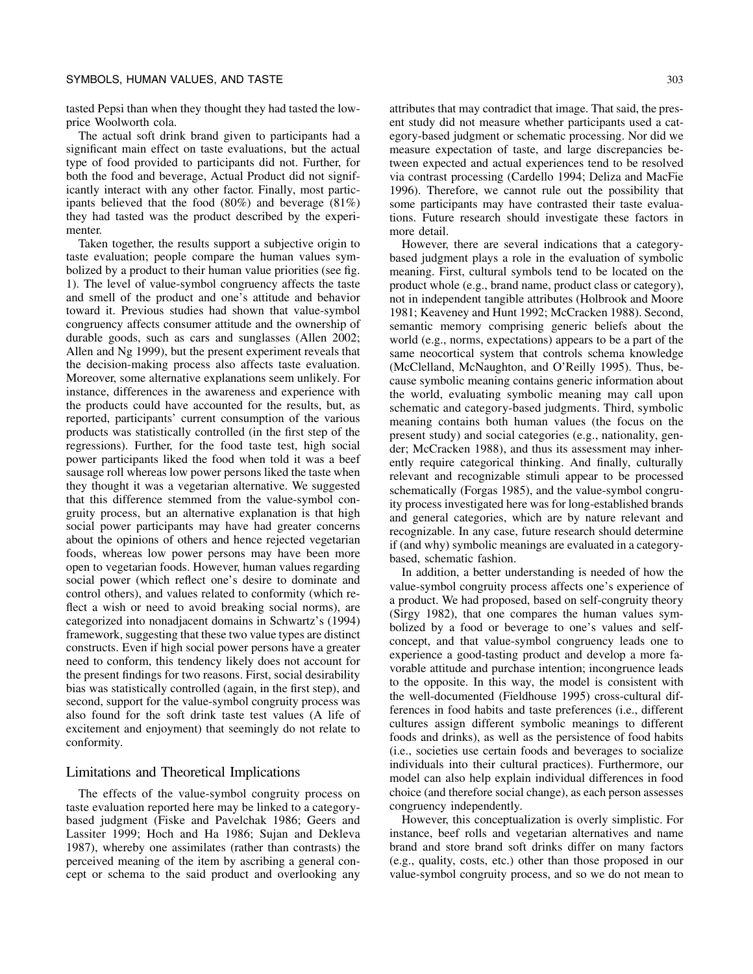tasted Pepsi than when they thought they had tasted the lowprice Woolworth cola.

The actual soft drink brand given to participants had a significant main effect on taste evaluations, but the actual type of food provided to participants did not. Further, for both the food and beverage, Actual Product did not significantly interact with any other factor. Finally, most participants believed that the food (80%) and beverage (81%) they had tasted was the product described by the experimenter.

Taken together, the results support a subjective origin to taste evaluation; people compare the human values symbolized by a product to their human value priorities (see fig. 1). The level of value-symbol congruency affects the taste and smell of the product and one's attitude and behavior toward it. Previous studies had shown that value-symbol congruency affects consumer attitude and the ownership of durable goods, such as cars and sunglasses (Allen 2002; Allen and Ng 1999), but the present experiment reveals that the decision-making process also affects taste evaluation. Moreover, some alternative explanations seem unlikely. For instance, differences in the awareness and experience with the products could have accounted for the results, but, as reported, participants' current consumption of the various products was statistically controlled (in the first step of the regressions). Further, for the food taste test, high social power participants liked the food when told it was a beef sausage roll whereas low power persons liked the taste when they thought it was a vegetarian alternative. We suggested that this difference stemmed from the value-symbol congruity process, but an alternative explanation is that high social power participants may have had greater concerns about the opinions of others and hence rejected vegetarian foods, whereas low power persons may have been more open to vegetarian foods. However, human values regarding social power (which reflect one's desire to dominate and control others), and values related to conformity (which reflect a wish or need to avoid breaking social norms), are categorized into nonadjacent domains in Schwartz's (1994) framework, suggesting that these two value types are distinct constructs. Even if high social power persons have a greater need to conform, this tendency likely does not account for the present findings for two reasons. First, social desirability bias was statistically controlled (again, in the first step), and second, support for the value-symbol congruity process was also found for the soft drink taste test values (A life of excitement and enjoyment) that seemingly do not relate to conformity.

#### Limitations and Theoretical Implications

The effects of the value-symbol congruity process on taste evaluation reported here may be linked to a categorybased judgment (Fiske and Pavelchak 1986; Geers and Lassiter 1999; Hoch and Ha 1986; Sujan and Dekleva 1987), whereby one assimilates (rather than contrasts) the perceived meaning of the item by ascribing a general concept or schema to the said product and overlooking any ent study did not measure whether participants used a category-based judgment or schematic processing. Nor did we measure expectation of taste, and large discrepancies between expected and actual experiences tend to be resolved via contrast processing (Cardello 1994; Deliza and MacFie 1996). Therefore, we cannot rule out the possibility that some participants may have contrasted their taste evaluations. Future research should investigate these factors in more detail.

However, there are several indications that a categorybased judgment plays a role in the evaluation of symbolic meaning. First, cultural symbols tend to be located on the product whole (e.g., brand name, product class or category), not in independent tangible attributes (Holbrook and Moore 1981; Keaveney and Hunt 1992; McCracken 1988). Second, semantic memory comprising generic beliefs about the world (e.g., norms, expectations) appears to be a part of the same neocortical system that controls schema knowledge (McClelland, McNaughton, and O'Reilly 1995). Thus, because symbolic meaning contains generic information about the world, evaluating symbolic meaning may call upon schematic and category-based judgments. Third, symbolic meaning contains both human values (the focus on the present study) and social categories (e.g., nationality, gender; McCracken 1988), and thus its assessment may inherently require categorical thinking. And finally, culturally relevant and recognizable stimuli appear to be processed schematically (Forgas 1985), and the value-symbol congruity process investigated here was for long-established brands and general categories, which are by nature relevant and recognizable. In any case, future research should determine if (and why) symbolic meanings are evaluated in a categorybased, schematic fashion.

In addition, a better understanding is needed of how the value-symbol congruity process affects one's experience of a product. We had proposed, based on self-congruity theory (Sirgy 1982), that one compares the human values symbolized by a food or beverage to one's values and selfconcept, and that value-symbol congruency leads one to experience a good-tasting product and develop a more favorable attitude and purchase intention; incongruence leads to the opposite. In this way, the model is consistent with the well-documented (Fieldhouse 1995) cross-cultural differences in food habits and taste preferences (i.e., different cultures assign different symbolic meanings to different foods and drinks), as well as the persistence of food habits (i.e., societies use certain foods and beverages to socialize individuals into their cultural practices). Furthermore, our model can also help explain individual differences in food choice (and therefore social change), as each person assesses congruency independently.

However, this conceptualization is overly simplistic. For instance, beef rolls and vegetarian alternatives and name brand and store brand soft drinks differ on many factors (e.g., quality, costs, etc.) other than those proposed in our value-symbol congruity process, and so we do not mean to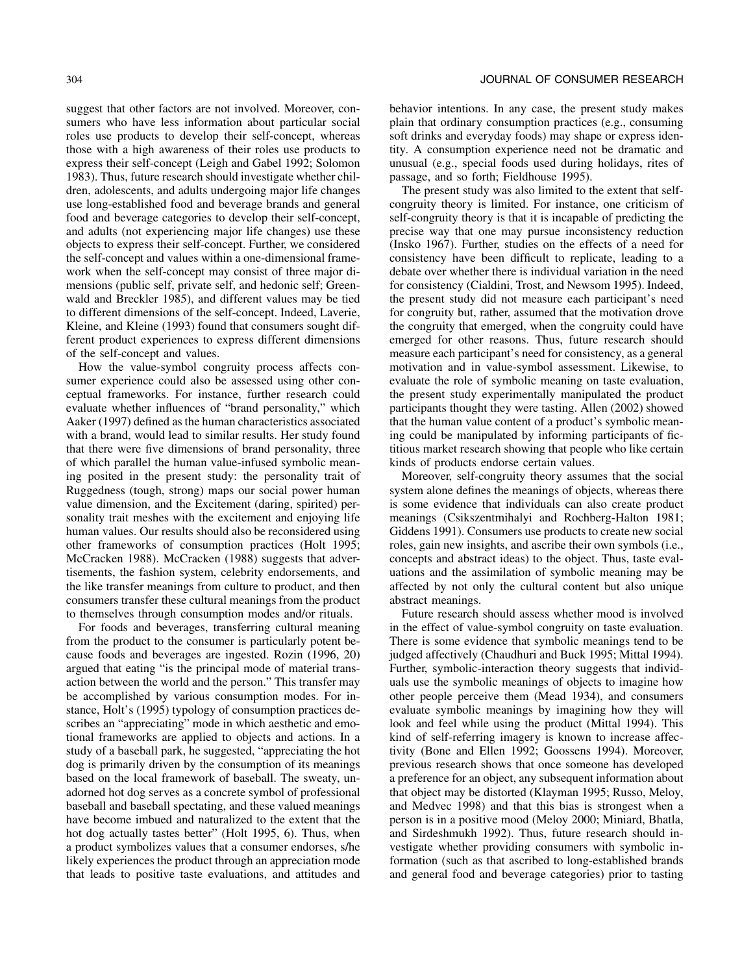suggest that other factors are not involved. Moreover, consumers who have less information about particular social roles use products to develop their self-concept, whereas those with a high awareness of their roles use products to express their self-concept (Leigh and Gabel 1992; Solomon 1983). Thus, future research should investigate whether children, adolescents, and adults undergoing major life changes use long-established food and beverage brands and general food and beverage categories to develop their self-concept, and adults (not experiencing major life changes) use these objects to express their self-concept. Further, we considered the self-concept and values within a one-dimensional framework when the self-concept may consist of three major dimensions (public self, private self, and hedonic self; Greenwald and Breckler 1985), and different values may be tied to different dimensions of the self-concept. Indeed, Laverie, Kleine, and Kleine (1993) found that consumers sought different product experiences to express different dimensions of the self-concept and values.

How the value-symbol congruity process affects consumer experience could also be assessed using other conceptual frameworks. For instance, further research could evaluate whether influences of "brand personality," which Aaker (1997) defined as the human characteristics associated with a brand, would lead to similar results. Her study found that there were five dimensions of brand personality, three of which parallel the human value-infused symbolic meaning posited in the present study: the personality trait of Ruggedness (tough, strong) maps our social power human value dimension, and the Excitement (daring, spirited) personality trait meshes with the excitement and enjoying life human values. Our results should also be reconsidered using other frameworks of consumption practices (Holt 1995; McCracken 1988). McCracken (1988) suggests that advertisements, the fashion system, celebrity endorsements, and the like transfer meanings from culture to product, and then consumers transfer these cultural meanings from the product to themselves through consumption modes and/or rituals.

For foods and beverages, transferring cultural meaning from the product to the consumer is particularly potent because foods and beverages are ingested. Rozin (1996, 20) argued that eating "is the principal mode of material transaction between the world and the person." This transfer may be accomplished by various consumption modes. For instance, Holt's (1995) typology of consumption practices describes an "appreciating" mode in which aesthetic and emotional frameworks are applied to objects and actions. In a study of a baseball park, he suggested, "appreciating the hot dog is primarily driven by the consumption of its meanings based on the local framework of baseball. The sweaty, unadorned hot dog serves as a concrete symbol of professional baseball and baseball spectating, and these valued meanings have become imbued and naturalized to the extent that the hot dog actually tastes better" (Holt 1995, 6). Thus, when a product symbolizes values that a consumer endorses, s/he likely experiences the product through an appreciation mode that leads to positive taste evaluations, and attitudes and behavior intentions. In any case, the present study makes plain that ordinary consumption practices (e.g., consuming soft drinks and everyday foods) may shape or express identity. A consumption experience need not be dramatic and unusual (e.g., special foods used during holidays, rites of passage, and so forth; Fieldhouse 1995).

The present study was also limited to the extent that selfcongruity theory is limited. For instance, one criticism of self-congruity theory is that it is incapable of predicting the precise way that one may pursue inconsistency reduction (Insko 1967). Further, studies on the effects of a need for consistency have been difficult to replicate, leading to a debate over whether there is individual variation in the need for consistency (Cialdini, Trost, and Newsom 1995). Indeed, the present study did not measure each participant's need for congruity but, rather, assumed that the motivation drove the congruity that emerged, when the congruity could have emerged for other reasons. Thus, future research should measure each participant's need for consistency, as a general motivation and in value-symbol assessment. Likewise, to evaluate the role of symbolic meaning on taste evaluation, the present study experimentally manipulated the product participants thought they were tasting. Allen (2002) showed that the human value content of a product's symbolic meaning could be manipulated by informing participants of fictitious market research showing that people who like certain kinds of products endorse certain values.

Moreover, self-congruity theory assumes that the social system alone defines the meanings of objects, whereas there is some evidence that individuals can also create product meanings (Csikszentmihalyi and Rochberg-Halton 1981; Giddens 1991). Consumers use products to create new social roles, gain new insights, and ascribe their own symbols (i.e., concepts and abstract ideas) to the object. Thus, taste evaluations and the assimilation of symbolic meaning may be affected by not only the cultural content but also unique abstract meanings.

Future research should assess whether mood is involved in the effect of value-symbol congruity on taste evaluation. There is some evidence that symbolic meanings tend to be judged affectively (Chaudhuri and Buck 1995; Mittal 1994). Further, symbolic-interaction theory suggests that individuals use the symbolic meanings of objects to imagine how other people perceive them (Mead 1934), and consumers evaluate symbolic meanings by imagining how they will look and feel while using the product (Mittal 1994). This kind of self-referring imagery is known to increase affectivity (Bone and Ellen 1992; Goossens 1994). Moreover, previous research shows that once someone has developed a preference for an object, any subsequent information about that object may be distorted (Klayman 1995; Russo, Meloy, and Medvec 1998) and that this bias is strongest when a person is in a positive mood (Meloy 2000; Miniard, Bhatla, and Sirdeshmukh 1992). Thus, future research should investigate whether providing consumers with symbolic information (such as that ascribed to long-established brands and general food and beverage categories) prior to tasting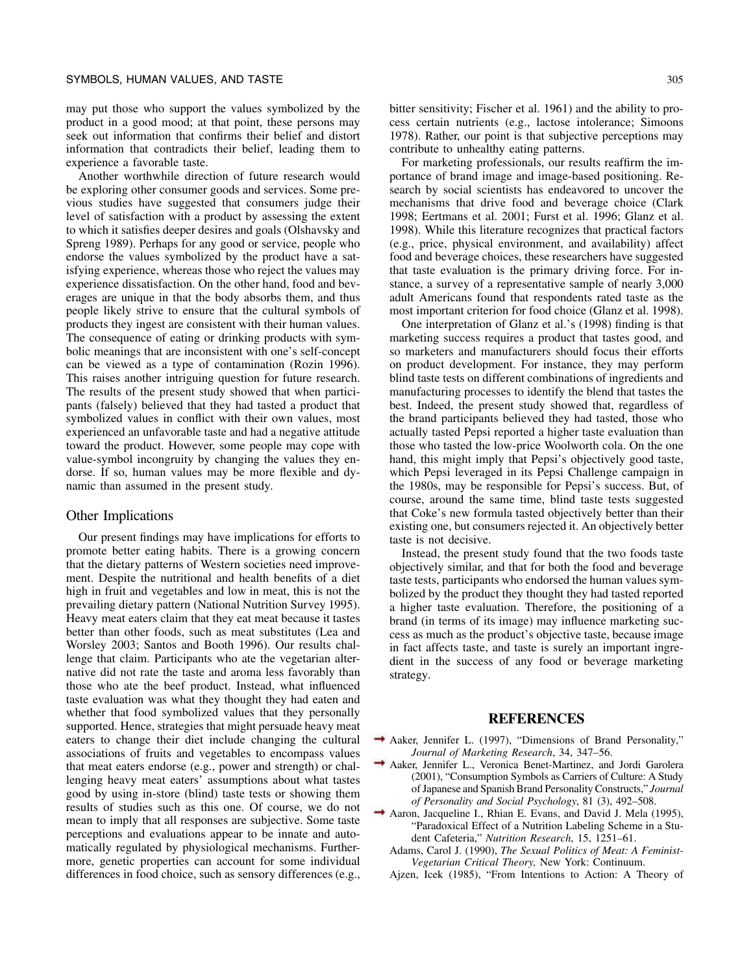may put those who support the values symbolized by the product in a good mood; at that point, these persons may seek out information that confirms their belief and distort information that contradicts their belief, leading them to experience a favorable taste.

Another worthwhile direction of future research would be exploring other consumer goods and services. Some previous studies have suggested that consumers judge their level of satisfaction with a product by assessing the extent to which it satisfies deeper desires and goals (Olshavsky and Spreng 1989). Perhaps for any good or service, people who endorse the values symbolized by the product have a satisfying experience, whereas those who reject the values may experience dissatisfaction. On the other hand, food and beverages are unique in that the body absorbs them, and thus people likely strive to ensure that the cultural symbols of products they ingest are consistent with their human values. The consequence of eating or drinking products with symbolic meanings that are inconsistent with one's self-concept can be viewed as a type of contamination (Rozin 1996). This raises another intriguing question for future research. The results of the present study showed that when participants (falsely) believed that they had tasted a product that symbolized values in conflict with their own values, most experienced an unfavorable taste and had a negative attitude toward the product. However, some people may cope with value-symbol incongruity by changing the values they endorse. If so, human values may be more flexible and dynamic than assumed in the present study.

#### Other Implications

Our present findings may have implications for efforts to promote better eating habits. There is a growing concern that the dietary patterns of Western societies need improvement. Despite the nutritional and health benefits of a diet high in fruit and vegetables and low in meat, this is not the prevailing dietary pattern (National Nutrition Survey 1995). Heavy meat eaters claim that they eat meat because it tastes better than other foods, such as meat substitutes (Lea and Worsley 2003; Santos and Booth 1996). Our results challenge that claim. Participants who ate the vegetarian alternative did not rate the taste and aroma less favorably than those who ate the beef product. Instead, what influenced taste evaluation was what they thought they had eaten and whether that food symbolized values that they personally supported. Hence, strategies that might persuade heavy meat eaters to change their diet include changing the cultural associations of fruits and vegetables to encompass values that meat eaters endorse (e.g., power and strength) or challenging heavy meat eaters' assumptions about what tastes good by using in-store (blind) taste tests or showing them results of studies such as this one. Of course, we do not mean to imply that all responses are subjective. Some taste perceptions and evaluations appear to be innate and automatically regulated by physiological mechanisms. Furthermore, genetic properties can account for some individual differences in food choice, such as sensory differences (e.g., bitter sensitivity; Fischer et al. 1961) and the ability to process certain nutrients (e.g., lactose intolerance; Simoons 1978). Rather, our point is that subjective perceptions may contribute to unhealthy eating patterns.

For marketing professionals, our results reaffirm the importance of brand image and image-based positioning. Research by social scientists has endeavored to uncover the mechanisms that drive food and beverage choice (Clark 1998; Eertmans et al. 2001; Furst et al. 1996; Glanz et al. 1998). While this literature recognizes that practical factors (e.g., price, physical environment, and availability) affect food and beverage choices, these researchers have suggested that taste evaluation is the primary driving force. For instance, a survey of a representative sample of nearly 3,000 adult Americans found that respondents rated taste as the most important criterion for food choice (Glanz et al. 1998).

One interpretation of Glanz et al.'s (1998) finding is that marketing success requires a product that tastes good, and so marketers and manufacturers should focus their efforts on product development. For instance, they may perform blind taste tests on different combinations of ingredients and manufacturing processes to identify the blend that tastes the best. Indeed, the present study showed that, regardless of the brand participants believed they had tasted, those who actually tasted Pepsi reported a higher taste evaluation than those who tasted the low-price Woolworth cola. On the one hand, this might imply that Pepsi's objectively good taste, which Pepsi leveraged in its Pepsi Challenge campaign in the 1980s, may be responsible for Pepsi's success. But, of course, around the same time, blind taste tests suggested that Coke's new formula tasted objectively better than their existing one, but consumers rejected it. An objectively better taste is not decisive.

Instead, the present study found that the two foods taste objectively similar, and that for both the food and beverage taste tests, participants who endorsed the human values symbolized by the product they thought they had tasted reported a higher taste evaluation. Therefore, the positioning of a brand (in terms of its image) may influence marketing success as much as the product's objective taste, because image in fact affects taste, and taste is surely an important ingredient in the success of any food or beverage marketing strategy.

#### **REFERENCES**

- Aaker, Jennifer L. (1997), "Dimensions of Brand Personality," *Journal of Marketing Research*, 34, 347–56.
- Aaker, Jennifer L., Veronica Benet-Martinez, and Jordi Garolera (2001), "Consumption Symbols as Carriers of Culture: A Study of Japanese and Spanish Brand Personality Constructs," *Journal of Personality and Social Psychology*, 81 (3), 492–508.
- Aaron, Jacqueline I., Rhian E. Evans, and David J. Mela (1995), "Paradoxical Effect of a Nutrition Labeling Scheme in a Student Cafeteria," *Nutrition Research*, 15, 1251–61.
	- Adams, Carol J. (1990), *The Sexual Politics of Meat: A Feminist-Vegetarian Critical Theory,* New York: Continuum.
	- Ajzen, Icek (1985), "From Intentions to Action: A Theory of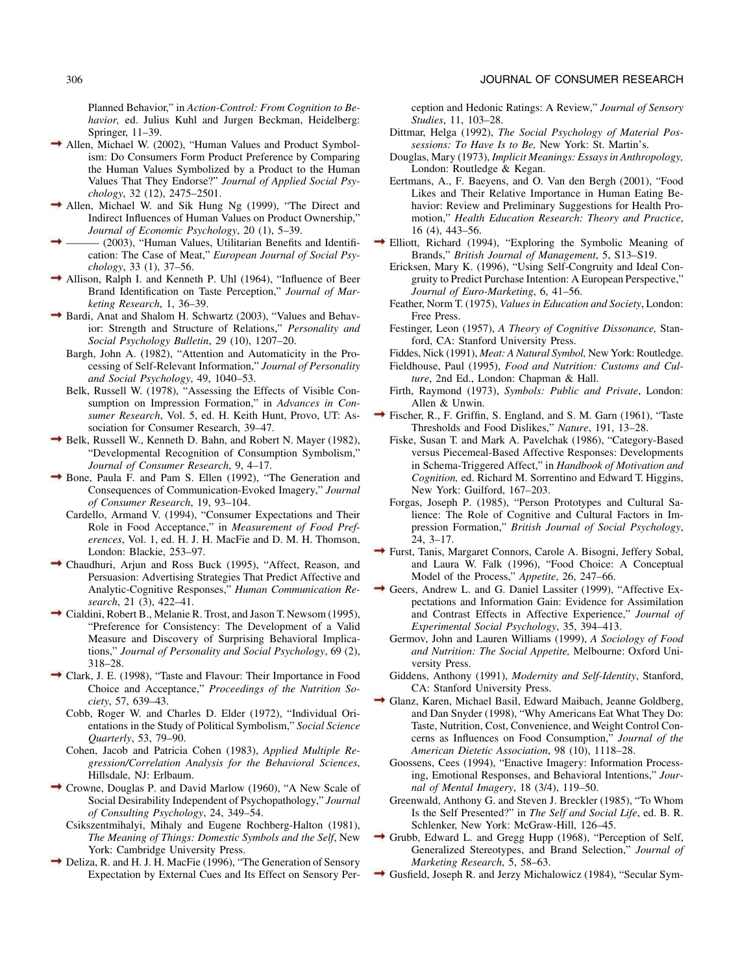Planned Behavior," in *Action-Control: From Cognition to Behavior,* ed. Julius Kuhl and Jurgen Beckman, Heidelberg: Springer, 11–39.

- Allen, Michael W. (2002), "Human Values and Product Symbolism: Do Consumers Form Product Preference by Comparing the Human Values Symbolized by a Product to the Human Values That They Endorse?" *Journal of Applied Social Psychology*, 32 (12), 2475–2501.
- Allen, Michael W. and Sik Hung Ng (1999), "The Direct and Indirect Influences of Human Values on Product Ownership," *Journal of Economic Psychology*, 20 (1), 5–39.
- (2003), "Human Values, Utilitarian Benefits and Identification: The Case of Meat," *European Journal of Social Psychology*, 33 (1), 37–56.
- Allison, Ralph I. and Kenneth P. Uhl (1964), "Influence of Beer Brand Identification on Taste Perception," *Journal of Marketing Research*, 1, 36–39.
- Bardi, Anat and Shalom H. Schwartz (2003), "Values and Behavior: Strength and Structure of Relations," *Personality and Social Psychology Bulletin*, 29 (10), 1207–20.
	- Bargh, John A. (1982), "Attention and Automaticity in the Processing of Self-Relevant Information," *Journal of Personality and Social Psychology*, 49, 1040–53.
	- Belk, Russell W. (1978), "Assessing the Effects of Visible Consumption on Impression Formation," in *Advances in Consumer Research*, Vol. 5, ed. H. Keith Hunt, Provo, UT: Association for Consumer Research, 39–47.
- Belk, Russell W., Kenneth D. Bahn, and Robert N. Mayer (1982), "Developmental Recognition of Consumption Symbolism," *Journal of Consumer Research*, 9, 4–17.
- Bone, Paula F. and Pam S. Ellen (1992), "The Generation and Consequences of Communication-Evoked Imagery," *Journal of Consumer Research*, 19, 93–104.
	- Cardello, Armand V. (1994), "Consumer Expectations and Their Role in Food Acceptance," in *Measurement of Food Preferences*, Vol. 1, ed. H. J. H. MacFie and D. M. H. Thomson, London: Blackie, 253–97.
- Chaudhuri, Arjun and Ross Buck (1995), "Affect, Reason, and Persuasion: Advertising Strategies That Predict Affective and Analytic-Cognitive Responses," *Human Communication Research*, 21 (3), 422–41.
- Cialdini, Robert B., Melanie R. Trost, and Jason T. Newsom (1995), "Preference for Consistency: The Development of a Valid Measure and Discovery of Surprising Behavioral Implications," *Journal of Personality and Social Psychology*, 69 (2), 318–28.
- Clark, J. E. (1998), "Taste and Flavour: Their Importance in Food Choice and Acceptance," *Proceedings of the Nutrition Society*, 57, 639–43.
	- Cobb, Roger W. and Charles D. Elder (1972), "Individual Orientations in the Study of Political Symbolism," *Social Science Quarterly*, 53, 79–90.
	- Cohen, Jacob and Patricia Cohen (1983), *Applied Multiple Regression/Correlation Analysis for the Behavioral Sciences*, Hillsdale, NJ: Erlbaum.
- Crowne, Douglas P. and David Marlow (1960), "A New Scale of Social Desirability Independent of Psychopathology," *Journal of Consulting Psychology*, 24, 349–54.
	- Csikszentmihalyi, Mihaly and Eugene Rochberg-Halton (1981), *The Meaning of Things: Domestic Symbols and the Self*, New York: Cambridge University Press.
- → Deliza, R. and H. J. H. MacFie (1996), "The Generation of Sensory Expectation by External Cues and Its Effect on Sensory Per-

ception and Hedonic Ratings: A Review," *Journal of Sensory Studies*, 11, 103–28.

- Dittmar, Helga (1992), *The Social Psychology of Material Possessions: To Have Is to Be,* New York: St. Martin's.
- Douglas, Mary (1973), *Implicit Meanings: Essays in Anthropology,* London: Routledge & Kegan.
- Eertmans, A., F. Baeyens, and O. Van den Bergh (2001), "Food Likes and Their Relative Importance in Human Eating Behavior: Review and Preliminary Suggestions for Health Promotion," *Health Education Research: Theory and Practice*, 16 (4), 443–56.
- Elliott, Richard (1994), "Exploring the Symbolic Meaning of Brands," *British Journal of Management*, 5, S13–S19.
	- Ericksen, Mary K. (1996), "Using Self-Congruity and Ideal Congruity to Predict Purchase Intention: A European Perspective," *Journal of Euro-Marketing*, 6, 41–56.
	- Feather, Norm T. (1975), *Values in Education and Society*, London: Free Press.
	- Festinger, Leon (1957), *A Theory of Cognitive Dissonance,* Stanford, CA: Stanford University Press.
	- Fiddes, Nick (1991), *Meat: A Natural Symbol,* New York: Routledge.
	- Fieldhouse, Paul (1995), *Food and Nutrition: Customs and Culture*, 2nd Ed., London: Chapman & Hall.
	- Firth, Raymond (1973), *Symbols: Public and Private*, London: Allen & Unwin.
- Fischer, R., F. Griffin, S. England, and S. M. Garn (1961), "Taste Thresholds and Food Dislikes," *Nature*, 191, 13–28.
	- Fiske, Susan T. and Mark A. Pavelchak (1986), "Category-Based versus Piecemeal-Based Affective Responses: Developments in Schema-Triggered Affect," in *Handbook of Motivation and Cognition,* ed. Richard M. Sorrentino and Edward T. Higgins, New York: Guilford, 167–203.
	- Forgas, Joseph P. (1985), "Person Prototypes and Cultural Salience: The Role of Cognitive and Cultural Factors in Impression Formation," *British Journal of Social Psychology*, 24, 3–17.
- Furst, Tanis, Margaret Connors, Carole A. Bisogni, Jeffery Sobal, and Laura W. Falk (1996), "Food Choice: A Conceptual Model of the Process," *Appetite*, 26, 247–66.
- Geers, Andrew L. and G. Daniel Lassiter (1999), "Affective Expectations and Information Gain: Evidence for Assimilation and Contrast Effects in Affective Experience," *Journal of Experimental Social Psychology*, 35, 394–413.
	- Germov, John and Lauren Williams (1999), *A Sociology of Food and Nutrition: The Social Appetite,* Melbourne: Oxford University Press.
	- Giddens, Anthony (1991), *Modernity and Self-Identity*, Stanford, CA: Stanford University Press.
- Glanz, Karen, Michael Basil, Edward Maibach, Jeanne Goldberg, and Dan Snyder (1998), "Why Americans Eat What They Do: Taste, Nutrition, Cost, Convenience, and Weight Control Concerns as Influences on Food Consumption," *Journal of the American Dietetic Association*, 98 (10), 1118–28.
	- Goossens, Cees (1994), "Enactive Imagery: Information Processing, Emotional Responses, and Behavioral Intentions," *Journal of Mental Imagery*, 18 (3/4), 119–50.
	- Greenwald, Anthony G. and Steven J. Breckler (1985), "To Whom Is the Self Presented?" in *The Self and Social Life*, ed. B. R. Schlenker, New York: McGraw-Hill, 126–45.
- Grubb, Edward L. and Gregg Hupp (1968), "Perception of Self, Generalized Stereotypes, and Brand Selection," *Journal of Marketing Research*, 5, 58–63.
- Gusfield, Joseph R. and Jerzy Michalowicz (1984), "Secular Sym-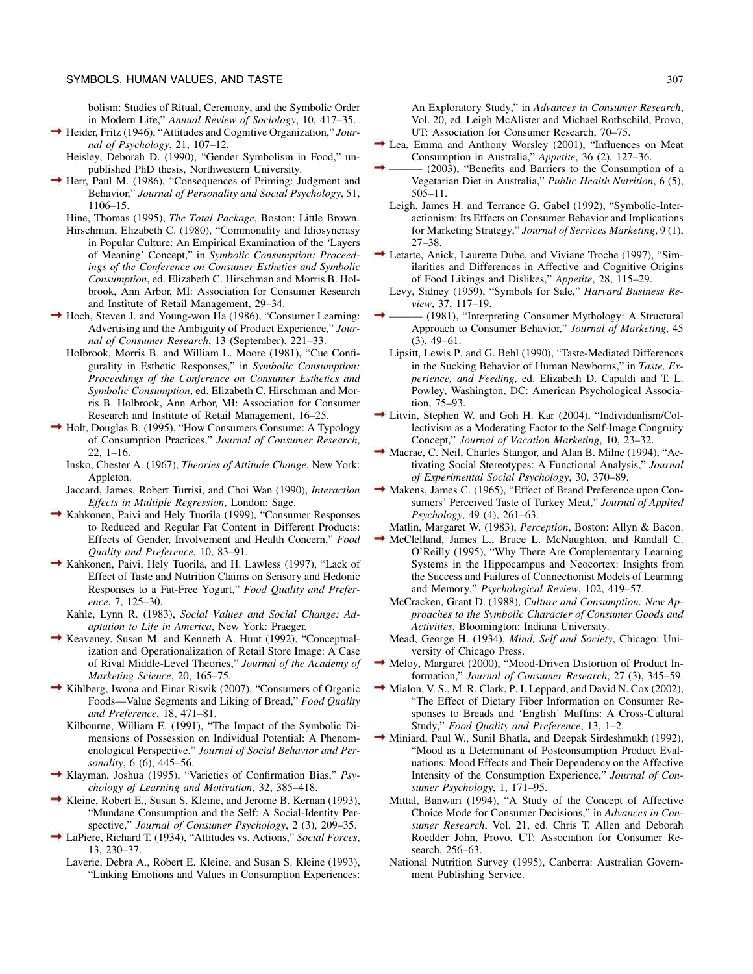bolism: Studies of Ritual, Ceremony, and the Symbolic Order in Modern Life," *Annual Review of Sociology*, 10, 417–35.

- Heider, Fritz (1946), "Attitudes and Cognitive Organization," *Journal of Psychology*, 21, 107–12.
- Heisley, Deborah D. (1990), "Gender Symbolism in Food," unpublished PhD thesis, Northwestern University.
- Herr, Paul M. (1986), "Consequences of Priming: Judgment and Behavior," *Journal of Personality and Social Psychology*, 51, 1106–15.
	- Hine, Thomas (1995), *The Total Package*, Boston: Little Brown. Hirschman, Elizabeth C. (1980), "Commonality and Idiosyncrasy in Popular Culture: An Empirical Examination of the 'Layers of Meaning' Concept," in *Symbolic Consumption: Proceedings of the Conference on Consumer Esthetics and Symbolic Consumption*, ed. Elizabeth C. Hirschman and Morris B. Holbrook, Ann Arbor, MI: Association for Consumer Research and Institute of Retail Management, 29–34.
- Hoch, Steven J. and Young-won Ha (1986), "Consumer Learning: Advertising and the Ambiguity of Product Experience," *Journal of Consumer Research*, 13 (September), 221–33.
	- Holbrook, Morris B. and William L. Moore (1981), "Cue Configurality in Esthetic Responses," in *Symbolic Consumption: Proceedings of the Conference on Consumer Esthetics and Symbolic Consumption*, ed. Elizabeth C. Hirschman and Morris B. Holbrook, Ann Arbor, MI: Association for Consumer Research and Institute of Retail Management, 16–25.
- Holt, Douglas B. (1995), "How Consumers Consume: A Typology of Consumption Practices," *Journal of Consumer Research*, 22, 1–16.
	- Insko, Chester A. (1967), *Theories of Attitude Change*, New York: Appleton.
	- Jaccard, James, Robert Turrisi, and Choi Wan (1990), *Interaction Effects in Multiple Regression*, London: Sage.
- Kahkonen, Paivi and Hely Tuorila (1999), "Consumer Responses to Reduced and Regular Fat Content in Different Products: Effects of Gender, Involvement and Health Concern," *Food Quality and Preference*, 10, 83–91.
- Kahkonen, Paivi, Hely Tuorila, and H. Lawless (1997), "Lack of Effect of Taste and Nutrition Claims on Sensory and Hedonic Responses to a Fat-Free Yogurt," *Food Quality and Preference*, 7, 125–30.
	- Kahle, Lynn R. (1983), *Social Values and Social Change: Adaptation to Life in America*, New York: Praeger.
- Keaveney, Susan M. and Kenneth A. Hunt (1992), "Conceptualization and Operationalization of Retail Store Image: A Case of Rival Middle-Level Theories," *Journal of the Academy of Marketing Science*, 20, 165–75.
- Kihlberg, Iwona and Einar Risvik (2007), "Consumers of Organic Foods—Value Segments and Liking of Bread," *Food Quality and Preference*, 18, 471–81.
	- Kilbourne, William E. (1991), "The Impact of the Symbolic Dimensions of Possession on Individual Potential: A Phenomenological Perspective," *Journal of Social Behavior and Personality*, 6 (6), 445–56.
- Klayman, Joshua (1995), "Varieties of Confirmation Bias," *Psychology of Learning and Motivation*, 32, 385–418.
- Kleine, Robert E., Susan S. Kleine, and Jerome B. Kernan (1993), "Mundane Consumption and the Self: A Social-Identity Perspective," *Journal of Consumer Psychology*, 2 (3), 209–35.
- LaPiere, Richard T. (1934), "Attitudes vs. Actions," *Social Forces*, 13, 230–37.
	- Laverie, Debra A., Robert E. Kleine, and Susan S. Kleine (1993), "Linking Emotions and Values in Consumption Experiences:

An Exploratory Study," in *Advances in Consumer Research*, Vol. 20, ed. Leigh McAlister and Michael Rothschild, Provo, UT: Association for Consumer Research, 70–75.

- Lea, Emma and Anthony Worsley (2001), "Influences on Meat Consumption in Australia," *Appetite*, 36 (2), 127–36.
- ——— (2003), "Benefits and Barriers to the Consumption of a Vegetarian Diet in Australia," *Public Health Nutrition*, 6 (5), 505–11.
- Leigh, James H. and Terrance G. Gabel (1992), "Symbolic-Interactionism: Its Effects on Consumer Behavior and Implications for Marketing Strategy," *Journal of Services Marketing*, 9 (1), 27–38.
- Letarte, Anick, Laurette Dube, and Viviane Troche (1997), "Similarities and Differences in Affective and Cognitive Origins of Food Likings and Dislikes," *Appetite*, 28, 115–29.
	- Levy, Sidney (1959), "Symbols for Sale," *Harvard Business Review*, 37, 117–19.
	- (1981), "Interpreting Consumer Mythology: A Structural Approach to Consumer Behavior," *Journal of Marketing*, 45 (3), 49–61.
	- Lipsitt, Lewis P. and G. Behl (1990), "Taste-Mediated Differences in the Sucking Behavior of Human Newborns," in *Taste, Experience, and Feeding*, ed. Elizabeth D. Capaldi and T. L. Powley, Washington, DC: American Psychological Association, 75–93.
- Litvin, Stephen W. and Goh H. Kar (2004), "Individualism/Collectivism as a Moderating Factor to the Self-Image Congruity Concept," *Journal of Vacation Marketing*, 10, 23–32.
- Macrae, C. Neil, Charles Stangor, and Alan B. Milne (1994), "Activating Social Stereotypes: A Functional Analysis," *Journal of Experimental Social Psychology*, 30, 370–89.
- Makens, James C. (1965), "Effect of Brand Preference upon Consumers' Perceived Taste of Turkey Meat," *Journal of Applied Psychology*, 49 (4), 261–63.
- Matlin, Margaret W. (1983), *Perception*, Boston: Allyn & Bacon.
- McClelland, James L., Bruce L. McNaughton, and Randall C. O'Reilly (1995), "Why There Are Complementary Learning Systems in the Hippocampus and Neocortex: Insights from the Success and Failures of Connectionist Models of Learning and Memory," *Psychological Review*, 102, 419–57.
	- McCracken, Grant D. (1988), *Culture and Consumption: New Approaches to the Symbolic Character of Consumer Goods and Activities*, Bloomington: Indiana University.
	- Mead, George H. (1934), *Mind, Self and Society*, Chicago: University of Chicago Press.
- Meloy, Margaret (2000), "Mood-Driven Distortion of Product Information," *Journal of Consumer Research*, 27 (3), 345–59.
- $\rightarrow$  Mialon, V. S., M. R. Clark, P. I. Leppard, and David N. Cox (2002), "The Effect of Dietary Fiber Information on Consumer Responses to Breads and 'English' Muffins: A Cross-Cultural Study," *Food Quality and Preference*, 13, 1–2.
- Miniard, Paul W., Sunil Bhatla, and Deepak Sirdeshmukh (1992), "Mood as a Determinant of Postconsumption Product Evaluations: Mood Effects and Their Dependency on the Affective Intensity of the Consumption Experience," *Journal of Consumer Psychology*, 1, 171–95.
	- Mittal, Banwari (1994), "A Study of the Concept of Affective Choice Mode for Consumer Decisions," in *Advances in Consumer Research*, Vol. 21, ed. Chris T. Allen and Deborah Roedder John, Provo, UT: Association for Consumer Research, 256–63.
	- National Nutrition Survey (1995), Canberra: Australian Government Publishing Service.